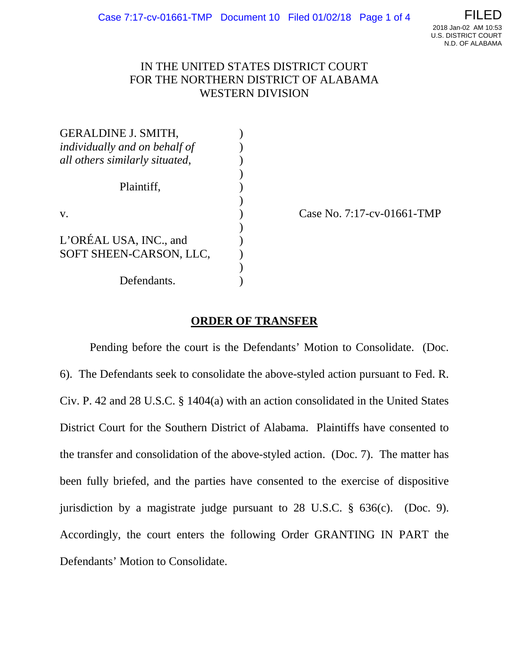

## IN THE UNITED STATES DISTRICT COURT FOR THE NORTHERN DISTRICT OF ALABAMA WESTERN DIVISION

| <b>GERALDINE J. SMITH,</b>     |  |
|--------------------------------|--|
| individually and on behalf of  |  |
| all others similarly situated, |  |
|                                |  |
| Plaintiff,                     |  |
|                                |  |
| V.                             |  |
|                                |  |
| L'ORÉAL USA, INC., and         |  |
| SOFT SHEEN-CARSON, LLC,        |  |
|                                |  |
| Defendants.                    |  |

Case No. 7:17-cv-01661-TMP

## **ORDER OF TRANSFER**

Pending before the court is the Defendants' Motion to Consolidate. (Doc. 6). The Defendants seek to consolidate the above-styled action pursuant to Fed. R. Civ. P. 42 and 28 U.S.C. § 1404(a) with an action consolidated in the United States District Court for the Southern District of Alabama. Plaintiffs have consented to the transfer and consolidation of the above-styled action. (Doc. 7). The matter has been fully briefed, and the parties have consented to the exercise of dispositive jurisdiction by a magistrate judge pursuant to 28 U.S.C. § 636(c). (Doc. 9). Accordingly, the court enters the following Order GRANTING IN PART the Defendants' Motion to Consolidate.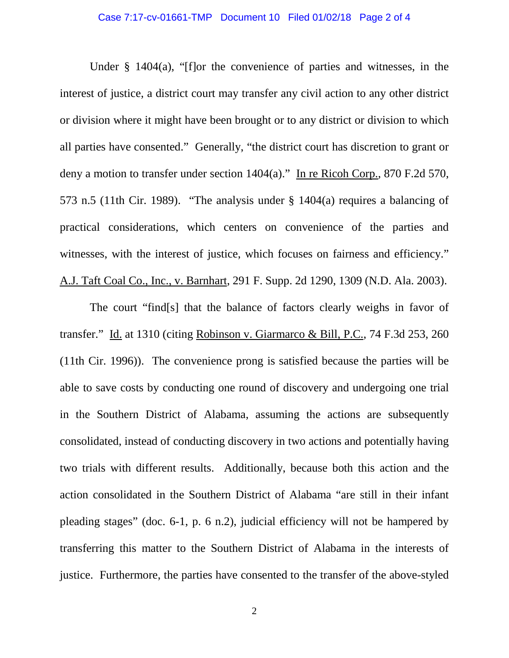Under § 1404(a), "[f]or the convenience of parties and witnesses, in the interest of justice, a district court may transfer any civil action to any other district or division where it might have been brought or to any district or division to which all parties have consented." Generally, "the district court has discretion to grant or deny a motion to transfer under section 1404(a)." In re Ricoh Corp., 870 F.2d 570, 573 n.5 (11th Cir. 1989). "The analysis under § 1404(a) requires a balancing of practical considerations, which centers on convenience of the parties and witnesses, with the interest of justice, which focuses on fairness and efficiency." A.J. Taft Coal Co., Inc., v. Barnhart, 291 F. Supp. 2d 1290, 1309 (N.D. Ala. 2003).

The court "find[s] that the balance of factors clearly weighs in favor of transfer." Id. at 1310 (citing Robinson v. Giarmarco & Bill, P.C., 74 F.3d 253, 260 (11th Cir. 1996)). The convenience prong is satisfied because the parties will be able to save costs by conducting one round of discovery and undergoing one trial in the Southern District of Alabama, assuming the actions are subsequently consolidated, instead of conducting discovery in two actions and potentially having two trials with different results. Additionally, because both this action and the action consolidated in the Southern District of Alabama "are still in their infant pleading stages" (doc. 6-1, p. 6 n.2), judicial efficiency will not be hampered by transferring this matter to the Southern District of Alabama in the interests of justice. Furthermore, the parties have consented to the transfer of the above-styled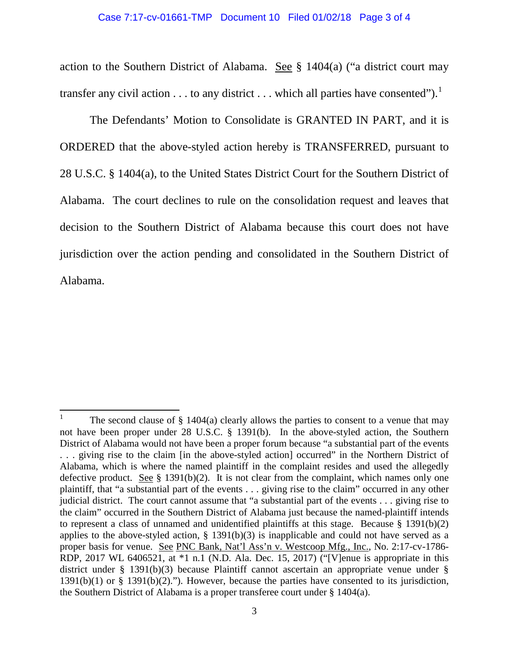## Case 7:17-cv-01661-TMP Document 10 Filed 01/02/18 Page 3 of 4

action to the Southern District of Alabama. See  $\S$  1404(a) ("a district court may transfer any civil action  $\dots$  to any district  $\dots$  which all parties have consented").<sup>[1](#page-2-0)</sup>

The Defendants' Motion to Consolidate is GRANTED IN PART, and it is ORDERED that the above-styled action hereby is TRANSFERRED, pursuant to 28 U.S.C. § 1404(a), to the United States District Court for the Southern District of Alabama. The court declines to rule on the consolidation request and leaves that decision to the Southern District of Alabama because this court does not have jurisdiction over the action pending and consolidated in the Southern District of Alabama.

<span id="page-2-0"></span>The second clause of  $\S$  1404(a) clearly allows the parties to consent to a venue that may not have been proper under 28 U.S.C. § 1391(b). In the above-styled action, the Southern District of Alabama would not have been a proper forum because "a substantial part of the events . . . giving rise to the claim [in the above-styled action] occurred" in the Northern District of Alabama, which is where the named plaintiff in the complaint resides and used the allegedly defective product. See  $\S$  1391(b)(2). It is not clear from the complaint, which names only one plaintiff, that "a substantial part of the events . . . giving rise to the claim" occurred in any other judicial district. The court cannot assume that "a substantial part of the events . . . giving rise to the claim" occurred in the Southern District of Alabama just because the named-plaintiff intends to represent a class of unnamed and unidentified plaintiffs at this stage. Because  $\S$  1391(b)(2) applies to the above-styled action,  $\S$  1391(b)(3) is inapplicable and could not have served as a proper basis for venue. See PNC Bank, Nat'l Ass'n v. Westcoop Mfg., Inc., No. 2:17-cv-1786- RDP, 2017 WL 6406521, at \*1 n.1 (N.D. Ala. Dec. 15, 2017) ("[V]enue is appropriate in this district under § 1391(b)(3) because Plaintiff cannot ascertain an appropriate venue under § 1391(b)(1) or § 1391(b)(2)."). However, because the parties have consented to its jurisdiction, the Southern District of Alabama is a proper transferee court under § 1404(a).